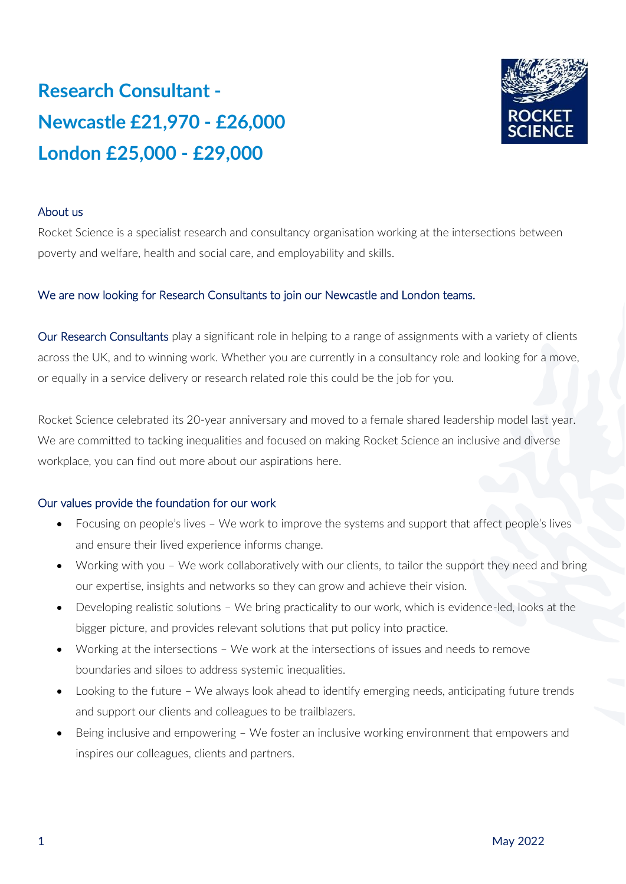# **Research Consultant - Newcastle £21,970 - £26,000 London £25,000 - £29,000**



## About us

Rocket Science is a specialist research and consultancy organisation working at the intersections between poverty and welfare, health and social care, and employability and skills.

## We are now looking for Research Consultants to join our Newcastle and London teams.

Our Research Consultants play a significant role in helping to a range of assignments with a variety of clients across the UK, and to winning work. Whether you are currently in a consultancy role and looking for a move, or equally in a service delivery or research related role this could be the job for you.

Rocket Science celebrated its 20-year anniversary and moved to a female shared leadership model last year. We are committed to tacking inequalities and focused on making Rocket Science an inclusive and diverse workplace, you can find out more about our aspirations here.

#### Our values provide the foundation for our work

- Focusing on people's lives We work to improve the systems and support that affect people's lives and ensure their lived experience informs change.
- Working with you We work collaboratively with our clients, to tailor the support they need and bring our expertise, insights and networks so they can grow and achieve their vision.
- Developing realistic solutions We bring practicality to our work, which is evidence-led, looks at the bigger picture, and provides relevant solutions that put policy into practice.
- Working at the intersections We work at the intersections of issues and needs to remove boundaries and siloes to address systemic inequalities.
- Looking to the future We always look ahead to identify emerging needs, anticipating future trends and support our clients and colleagues to be trailblazers.
- Being inclusive and empowering We foster an inclusive working environment that empowers and inspires our colleagues, clients and partners.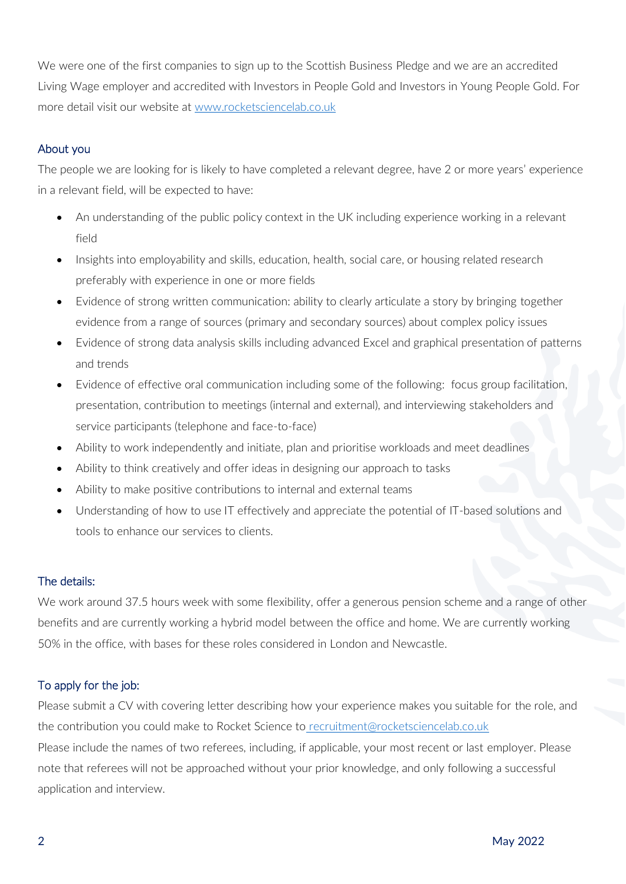We were one of the first companies to sign up to the Scottish Business Pledge and we are an accredited Living Wage employer and accredited with Investors in People Gold and Investors in Young People Gold. For more detail visit our website at [www.rocketsciencelab.co.uk](http://www.rocketsciencelab.co.uk/)

# About you

The people we are looking for is likely to have completed a relevant degree, have 2 or more years' experience in a relevant field, will be expected to have:

- An understanding of the public policy context in the UK including experience working in a relevant field
- Insights into employability and skills, education, health, social care, or housing related research preferably with experience in one or more fields
- Evidence of strong written communication: ability to clearly articulate a story by bringing together evidence from a range of sources (primary and secondary sources) about complex policy issues
- Evidence of strong data analysis skills including advanced Excel and graphical presentation of patterns and trends
- Evidence of effective oral communication including some of the following: focus group facilitation, presentation, contribution to meetings (internal and external), and interviewing stakeholders and service participants (telephone and face-to-face)
- Ability to work independently and initiate, plan and prioritise workloads and meet deadlines
- Ability to think creatively and offer ideas in designing our approach to tasks
- Ability to make positive contributions to internal and external teams
- Understanding of how to use IT effectively and appreciate the potential of IT-based solutions and tools to enhance our services to clients.

## The details:

We work around 37.5 hours week with some flexibility, offer a generous pension scheme and a range of other benefits and are currently working a hybrid model between the office and home. We are currently working 50% in the office, with bases for these roles considered in London and Newcastle.

## To apply for the job:

Please submit a CV with covering letter describing how your experience makes you suitable for the role, and the contribution you could make to Rocket Science to [recruitment@rocketsciencelab.co.uk](mailto:recruitment@rocketsciencelab.co.uk) Please include the names of two referees, including, if applicable, your most recent or last employer. Please note that referees will not be approached without your prior knowledge, and only following a successful application and interview.